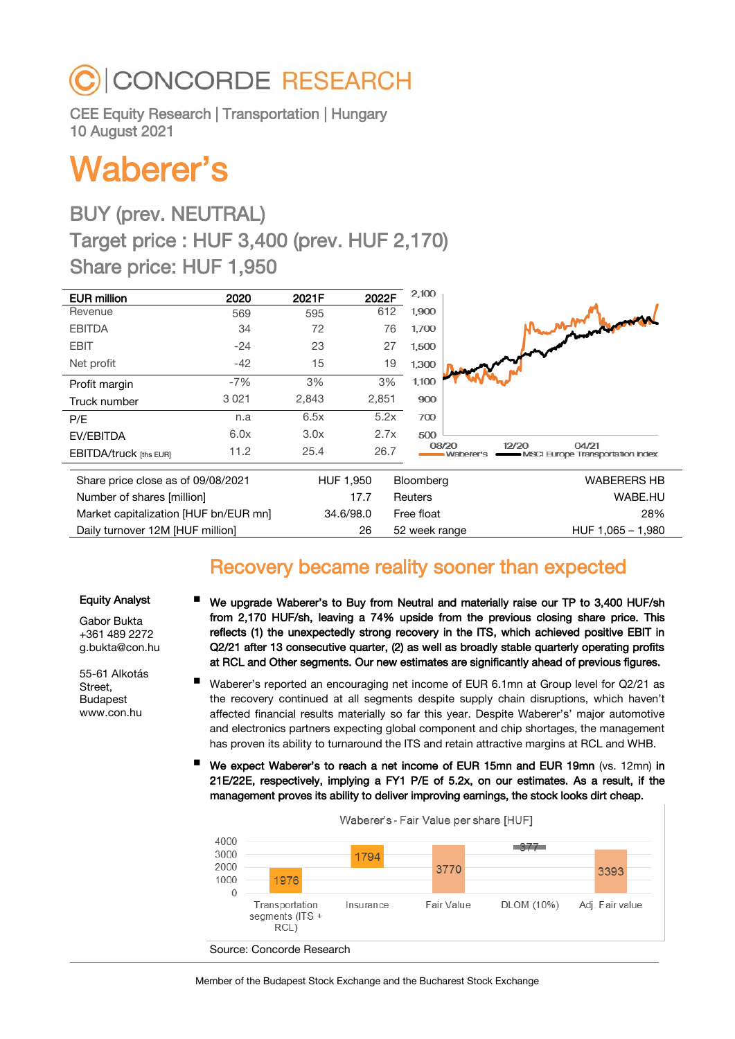# **CONCORDE RESEARCH**

CEE Equity Research | Transportation | Hungary 10 August 2021

# Waberer's

# BUY (prev. NEUTRAL) Target price : HUF 3,400 (prev. HUF 2,170) Share price: HUF 1,950

| <b>EUR million</b>                    | 2020    | 2021F | 2022F     | 2,100          |                                                                   |
|---------------------------------------|---------|-------|-----------|----------------|-------------------------------------------------------------------|
| Revenue                               | 569     | 595   | 612       | 1,900          |                                                                   |
| <b>EBITDA</b>                         | 34      | 72    | 76        | 1,700          |                                                                   |
| <b>EBIT</b>                           | $-24$   | 23    | 27        | 1,500          |                                                                   |
| Net profit                            | $-42$   | 15    | 19        | 1,300          |                                                                   |
| Profit margin                         | $-7%$   | 3%    | 3%        | 1,100          |                                                                   |
| Truck number                          | 3 0 2 1 | 2,843 | 2,851     | 900            |                                                                   |
| P/E                                   | n.a     | 6.5x  | 5.2x      | 700            |                                                                   |
| EV/EBITDA                             | 6.0x    | 3.0x  | 2.7x      | 500            |                                                                   |
| <b>EBITDA/truck [ths EUR]</b>         | 11.2    | 25.4  | 26.7      | 08/20          | 04/21<br>12/20<br>Waberer's<br>- MSCI Europe Transportation Index |
| Share price close as of 09/08/2021    |         |       | HUF 1,950 | Bloomberg      | WABERERS HB                                                       |
| Number of shares [million]            |         |       | 17.7      | <b>Reuters</b> | WABE.HU                                                           |
| Market capitalization [HUF bn/EUR mn] |         |       | 34.6/98.0 | Free float     | 28%                                                               |
| Daily turnover 12M [HUF million]      |         |       | 26        | 52 week range  | HUF 1,065 - 1,980                                                 |

## Recovery became reality sooner than expected

#### Equity Analyst

Gabor Bukta +361 489 2272 g.bukta@con.hu

55-61 Alkotás Street, Budapest www.con.hu

- We upgrade Waberer's to Buy from Neutral and materially raise our TP to 3,400 HUF/sh from 2,170 HUF/sh, leaving a 74% upside from the previous closing share price. This reflects (1) the unexpectedly strong recovery in the ITS, which achieved positive EBIT in Q2/21 after 13 consecutive quarter, (2) as well as broadly stable quarterly operating profits at RCL and Other segments. Our new estimates are significantly ahead of previous figures.
- Waberer's reported an encouraging net income of EUR 6.1mn at Group level for Q2/21 as the recovery continued at all segments despite supply chain disruptions, which haven't affected financial results materially so far this year. Despite Waberer's' major automotive and electronics partners expecting global component and chip shortages, the management has proven its ability to turnaround the ITS and retain attractive margins at RCL and WHB.
- We expect Waberer's to reach a net income of EUR 15mn and EUR 19mn (vs. 12mn) in 21E/22E, respectively, implying a FY1 P/E of 5.2x, on our estimates. As a result, if the management proves its ability to deliver improving earnings, the stock looks dirt cheap.

| 4000<br>3000<br>2000<br>1000<br>0 | 1976                                      | 1794      | 3770       |            | 3393            |
|-----------------------------------|-------------------------------------------|-----------|------------|------------|-----------------|
|                                   | Transportation<br>segments (ITS +<br>RCL) | Insurance | Fair Value | DLOM (10%) | Adj. Fair value |

Waberer's - Fair Value per share [HUF]

Source: Concorde Research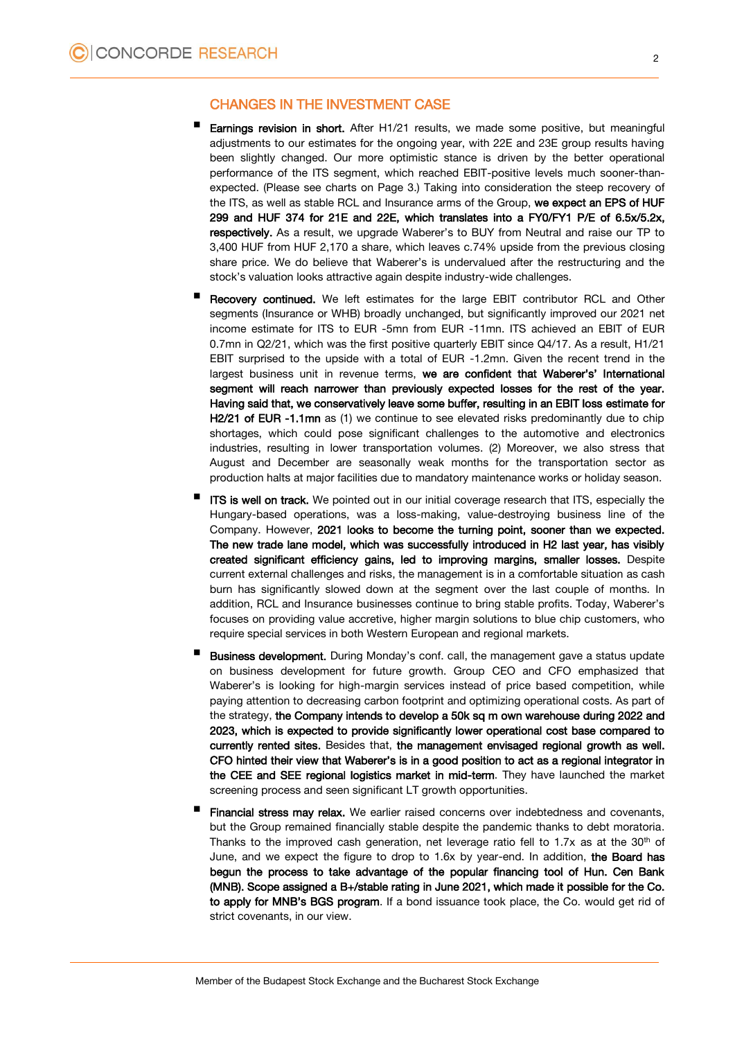#### CHANGES IN THE INVESTMENT CASE

- Earnings revision in short. After H1/21 results, we made some positive, but meaningful adjustments to our estimates for the ongoing year, with 22E and 23E group results having been slightly changed. Our more optimistic stance is driven by the better operational performance of the ITS segment, which reached EBIT-positive levels much sooner-thanexpected. (Please see charts on Page 3.) Taking into consideration the steep recovery of the ITS, as well as stable RCL and Insurance arms of the Group, we expect an EPS of HUF 299 and HUF 374 for 21E and 22E, which translates into a FY0/FY1 P/E of 6.5x/5.2x, respectively. As a result, we upgrade Waberer's to BUY from Neutral and raise our TP to 3,400 HUF from HUF 2,170 a share, which leaves c.74% upside from the previous closing share price. We do believe that Waberer's is undervalued after the restructuring and the stock's valuation looks attractive again despite industry-wide challenges.
- Recovery continued. We left estimates for the large EBIT contributor RCL and Other segments (Insurance or WHB) broadly unchanged, but significantly improved our 2021 net income estimate for ITS to EUR -5mn from EUR -11mn. ITS achieved an EBIT of EUR 0.7mn in Q2/21, which was the first positive quarterly EBIT since Q4/17. As a result, H1/21 EBIT surprised to the upside with a total of EUR -1.2mn. Given the recent trend in the largest business unit in revenue terms, we are confident that Waberer's' International segment will reach narrower than previously expected losses for the rest of the year. Having said that, we conservatively leave some buffer, resulting in an EBIT loss estimate for H2/21 of EUR -1.1mn as (1) we continue to see elevated risks predominantly due to chip shortages, which could pose significant challenges to the automotive and electronics industries, resulting in lower transportation volumes. (2) Moreover, we also stress that August and December are seasonally weak months for the transportation sector as production halts at major facilities due to mandatory maintenance works or holiday season.
- ITS is well on track. We pointed out in our initial coverage research that ITS, especially the Hungary-based operations, was a loss-making, value-destroying business line of the Company. However, 2021 looks to become the turning point, sooner than we expected. The new trade lane model, which was successfully introduced in H2 last year, has visibly created significant efficiency gains, led to improving margins, smaller losses. Despite current external challenges and risks, the management is in a comfortable situation as cash burn has significantly slowed down at the segment over the last couple of months. In addition, RCL and Insurance businesses continue to bring stable profits. Today, Waberer's focuses on providing value accretive, higher margin solutions to blue chip customers, who require special services in both Western European and regional markets.
- Business development. During Monday's conf. call, the management gave a status update on business development for future growth. Group CEO and CFO emphasized that Waberer's is looking for high-margin services instead of price based competition, while paying attention to decreasing carbon footprint and optimizing operational costs. As part of the strategy, the Company intends to develop a 50k sq m own warehouse during 2022 and 2023, which is expected to provide significantly lower operational cost base compared to currently rented sites. Besides that, the management envisaged regional growth as well. CFO hinted their view that Waberer's is in a good position to act as a regional integrator in the CEE and SEE regional logistics market in mid-term. They have launched the market screening process and seen significant LT growth opportunities.
- Financial stress may relax. We earlier raised concerns over indebtedness and covenants, but the Group remained financially stable despite the pandemic thanks to debt moratoria. Thanks to the improved cash generation, net leverage ratio fell to 1.7x as at the  $30<sup>th</sup>$  of June, and we expect the figure to drop to 1.6x by year-end. In addition, the Board has begun the process to take advantage of the popular financing tool of Hun. Cen Bank (MNB). Scope assigned a B+/stable rating in June 2021, which made it possible for the Co. to apply for MNB's BGS program. If a bond issuance took place, the Co. would get rid of strict covenants, in our view.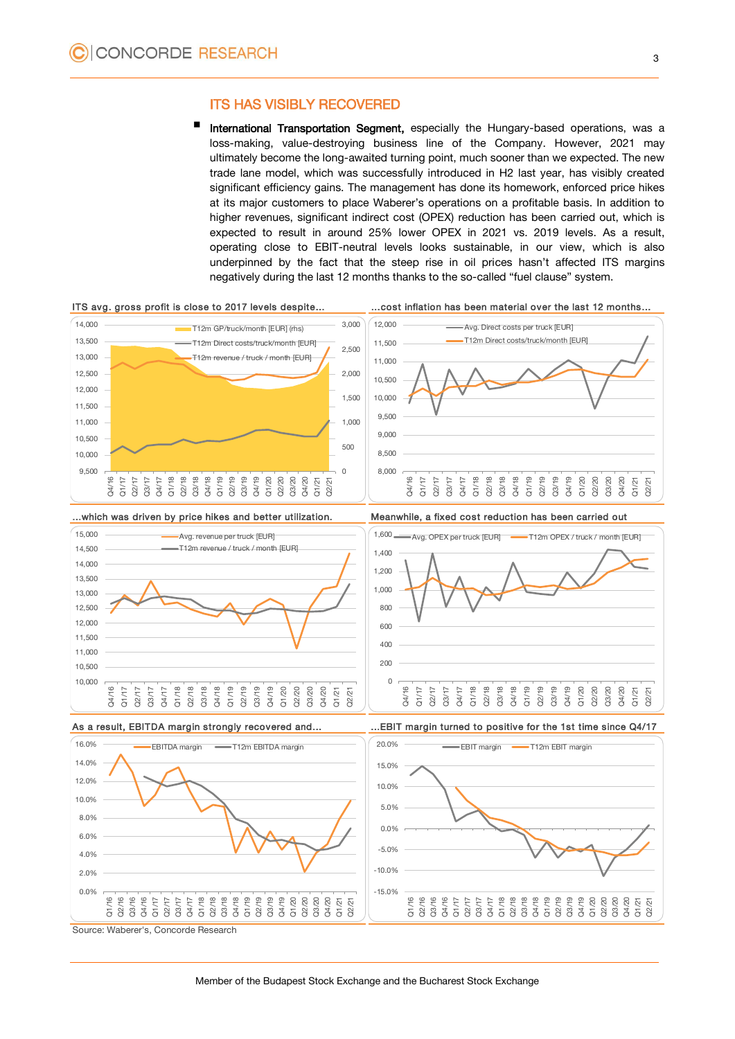### ITS HAS VISIBLY RECOVERED

 International Transportation Segment, especially the Hungary-based operations, was a loss-making, value-destroying business line of the Company. However, 2021 may ultimately become the long-awaited turning point, much sooner than we expected. The new trade lane model, which was successfully introduced in H2 last year, has visibly created significant efficiency gains. The management has done its homework, enforced price hikes at its major customers to place Waberer's operations on a profitable basis. In addition to higher revenues, significant indirect cost (OPEX) reduction has been carried out, which is expected to result in around 25% lower OPEX in 2021 vs. 2019 levels. As a result, operating close to EBIT-neutral levels looks sustainable, in our view, which is also underpinned by the fact that the steep rise in oil prices hasn't affected ITS margins negatively during the last 12 months thanks to the so-called "fuel clause" system.



Source: Waberer's, Concorde Research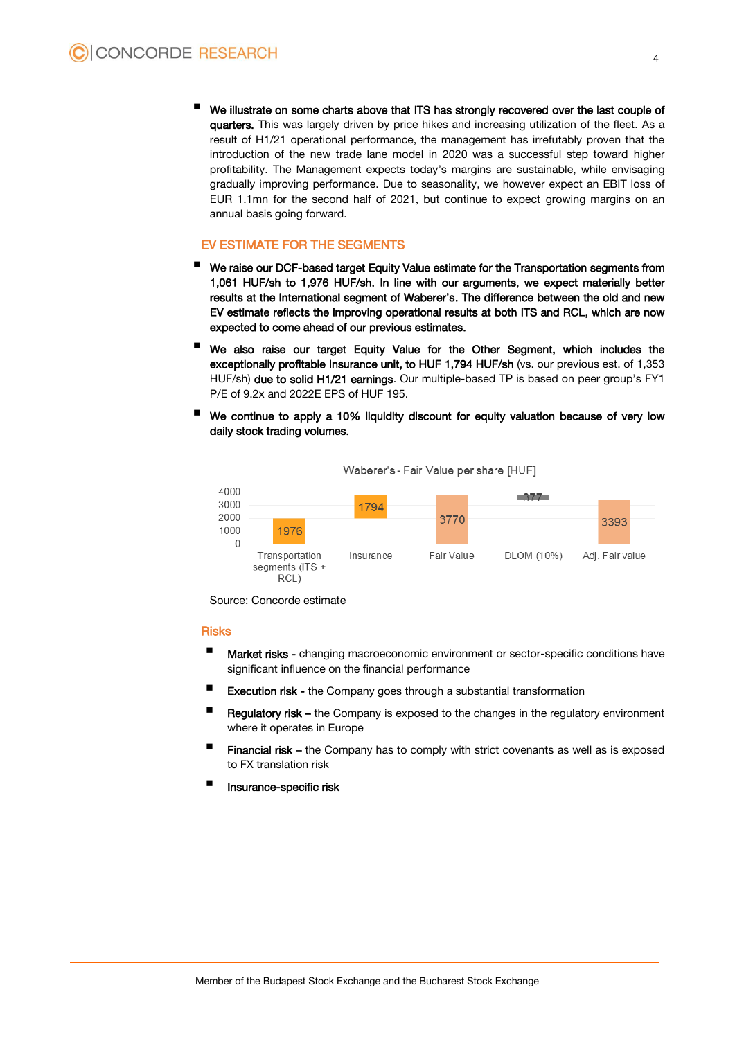We illustrate on some charts above that ITS has strongly recovered over the last couple of quarters. This was largely driven by price hikes and increasing utilization of the fleet. As a result of H1/21 operational performance, the management has irrefutably proven that the introduction of the new trade lane model in 2020 was a successful step toward higher profitability. The Management expects today's margins are sustainable, while envisaging gradually improving performance. Due to seasonality, we however expect an EBIT loss of EUR 1.1mn for the second half of 2021, but continue to expect growing margins on an annual basis going forward.

#### EV ESTIMATE FOR THE SEGMENTS

- We raise our DCF-based target Equity Value estimate for the Transportation segments from 1,061 HUF/sh to 1,976 HUF/sh. In line with our arguments, we expect materially better results at the International segment of Waberer's. The difference between the old and new EV estimate reflects the improving operational results at both ITS and RCL, which are now expected to come ahead of our previous estimates.
- We also raise our target Equity Value for the Other Segment, which includes the exceptionally profitable Insurance unit, to HUF 1,794 HUF/sh (vs. our previous est. of 1,353 HUF/sh) due to solid H1/21 earnings. Our multiple-based TP is based on peer group's FY1 P/E of 9.2x and 2022E EPS of HUF 195.
- We continue to apply a 10% liquidity discount for equity valuation because of very low daily stock trading volumes.

| 4000<br>3000 |                                          | 1794      |            |            |                 |
|--------------|------------------------------------------|-----------|------------|------------|-----------------|
| 2000<br>1000 | 1976                                     |           | 3770       |            | 3393            |
| 0            | Transportation<br>segments (ITS +<br>RCL | Insurance | Fair Value | DLOM (10%) | Adj. Fair value |

Waberer's - Fair Value per share [HUF]

Source: Concorde estimate

### Risks

- **Market risks -** changing macroeconomic environment or sector-specific conditions have significant influence on the financial performance
- Execution risk the Company goes through a substantial transformation
- Regulatory risk the Company is exposed to the changes in the regulatory environment where it operates in Europe
- Financial risk the Company has to comply with strict covenants as well as is exposed to FX translation risk
- Insurance-specific risk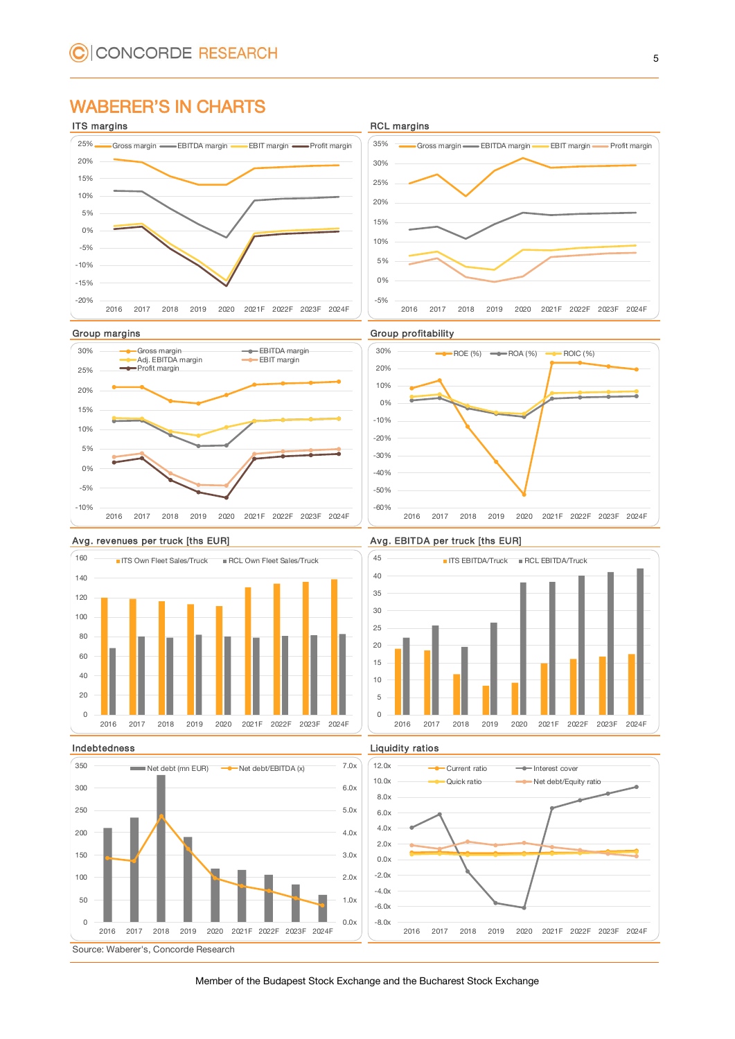### WABERER'S IN CHARTS





















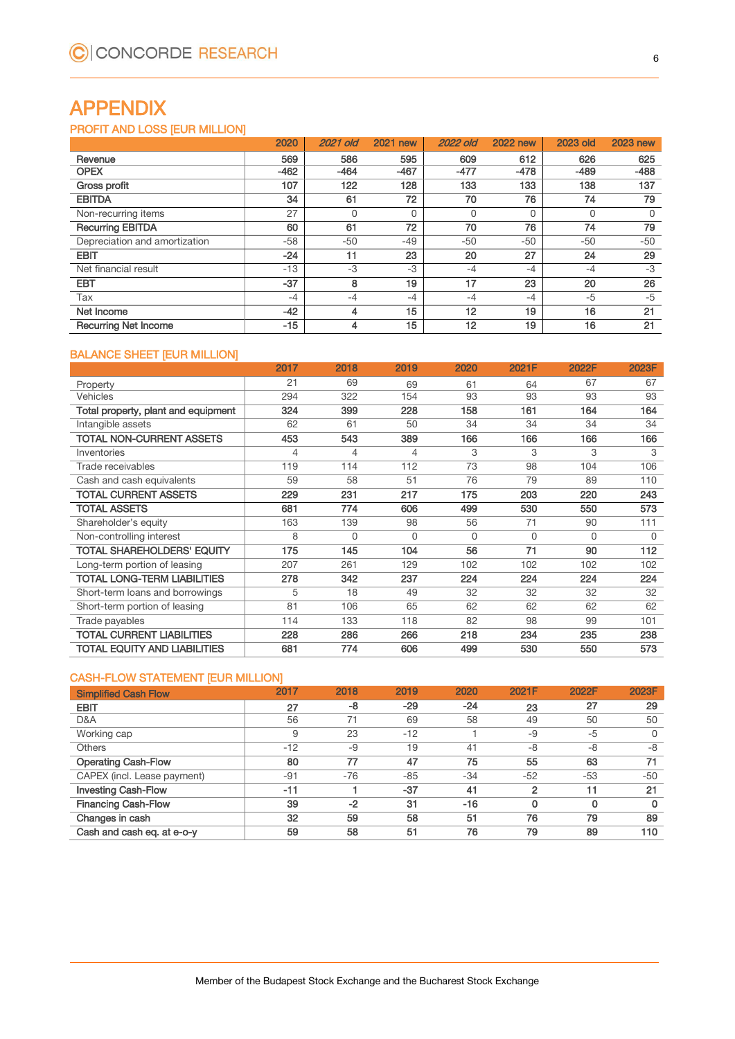## APPENDIX

### PROFIT AND LOSS [EUR MILLION]

|                               | 2020   | 2021 old | <b>2021 new</b> | <b>2022 old</b> | <b>2022 new</b> | <b>2023 old</b> | <b>2023 new</b> |
|-------------------------------|--------|----------|-----------------|-----------------|-----------------|-----------------|-----------------|
| Revenue                       | 569    | 586      | 595             | 609             | 612             | 626             | 625             |
| <b>OPEX</b>                   | $-462$ | $-464$   | $-467$          | $-477$          | $-478$          | $-489$          | $-488$          |
| Gross profit                  | 107    | 122      | 128             | 133             | 133             | 138             | 137             |
| <b>EBITDA</b>                 | 34     | 61       | 72              | 70              | 76              | 74              | 79              |
| Non-recurring items           | 27     | 0        | 0               |                 | 0               | 0               | 0               |
| <b>Recurring EBITDA</b>       | 60     | 61       | 72              | 70              | 76              | 74              | 79              |
| Depreciation and amortization | $-58$  | $-50$    | $-49$           | $-50$           | $-50$           | $-50$           | $-50$           |
| <b>EBIT</b>                   | $-24$  | 11       | 23              | 20              | 27              | 24              | 29              |
| Net financial result          | $-13$  | $-3$     | $-3$            | $-4$            | $-4$            | $-4$            | $-3$            |
| <b>EBT</b>                    | $-37$  | 8        | 19              | 17              | 23              | 20              | 26              |
| Tax                           | $-4$   | $-4$     | $-4$            | $-4$            | $-4$            | $-5$            | $-5$            |
| Net Income                    | $-42$  | 4        | 15              | 12              | 19              | 16              | 21              |
| <b>Recurring Net Income</b>   | $-15$  | 4        | 15              | 12              | 19              | 16              | 21              |

### BALANCE SHEET [EUR MILLION]

|                                     | 2017 | 2018     | 2019     | 2020     | 2021F    | 2022F    | 2023F    |
|-------------------------------------|------|----------|----------|----------|----------|----------|----------|
| Property                            | 21   | 69       | 69       | 61       | 64       | 67       | 67       |
| Vehicles                            | 294  | 322      | 154      | 93       | 93       | 93       | 93       |
| Total property, plant and equipment | 324  | 399      | 228      | 158      | 161      | 164      | 164      |
| Intangible assets                   | 62   | 61       | 50       | 34       | 34       | 34       | 34       |
| <b>TOTAL NON-CURRENT ASSETS</b>     | 453  | 543      | 389      | 166      | 166      | 166      | 166      |
| Inventories                         | 4    | 4        | 4        | 3        | 3        | 3        | 3        |
| Trade receivables                   | 119  | 114      | 112      | 73       | 98       | 104      | 106      |
| Cash and cash equivalents           | 59   | 58       | 51       | 76       | 79       | 89       | 110      |
| TOTAL CURRENT ASSETS                | 229  | 231      | 217      | 175      | 203      | 220      | 243      |
| <b>TOTAL ASSETS</b>                 | 681  | 774      | 606      | 499      | 530      | 550      | 573      |
| Shareholder's equity                | 163  | 139      | 98       | 56       | 71       | 90       | 111      |
| Non-controlling interest            | 8    | $\Omega$ | $\Omega$ | $\Omega$ | $\Omega$ | $\Omega$ | $\Omega$ |
| TOTAL SHAREHOLDERS' EQUITY          | 175  | 145      | 104      | 56       | 71       | 90       | 112      |
| Long-term portion of leasing        | 207  | 261      | 129      | 102      | 102      | 102      | 102      |
| TOTAL LONG-TERM LIABILITIES         | 278  | 342      | 237      | 224      | 224      | 224      | 224      |
| Short-term loans and borrowings     | 5    | 18       | 49       | 32       | 32       | 32       | 32       |
| Short-term portion of leasing       | 81   | 106      | 65       | 62       | 62       | 62       | 62       |
| Trade payables                      | 114  | 133      | 118      | 82       | 98       | 99       | 101      |
| TOTAL CURRENT LIABILITIES           | 228  | 286      | 266      | 218      | 234      | 235      | 238      |
| TOTAL EQUITY AND LIABILITIES        | 681  | 774      | 606      | 499      | 530      | 550      | 573      |

#### CASH-FLOW STATEMENT [EUR MILLION]

| <b>Simplified Cash Flow</b> | 2017  | 2018  | 2019  | 2020  | 2021F          | 2022F | 2023F |
|-----------------------------|-------|-------|-------|-------|----------------|-------|-------|
| <b>EBIT</b>                 | 27    | -8    | $-29$ | $-24$ | 23             | 27    | 29    |
| D&A                         | 56    | 71    | 69    | 58    | 49             | 50    | 50    |
| Working cap                 | 9     | 23    | $-12$ |       | -9             | $-5$  | 0     |
| <b>Others</b>               | $-12$ | $-9$  | 19    | 41    | -8             | $-8$  | -8    |
| <b>Operating Cash-Flow</b>  | 80    | 77    | 47    | 75    | 55             | 63    | 71    |
| CAPEX (incl. Lease payment) | $-91$ | $-76$ | $-85$ | $-34$ | $-52$          | $-53$ | $-50$ |
| <b>Investing Cash-Flow</b>  | $-11$ |       | $-37$ | 41    | $\overline{2}$ | 11    | 21    |
| <b>Financing Cash-Flow</b>  | 39    | -2    | 31    | $-16$ | 0              | 0     | 0     |
| Changes in cash             | 32    | 59    | 58    | 51    | 76             | 79    | 89    |
| Cash and cash eq. at e-o-y  | 59    | 58    | 51    | 76    | 79             | 89    | 110   |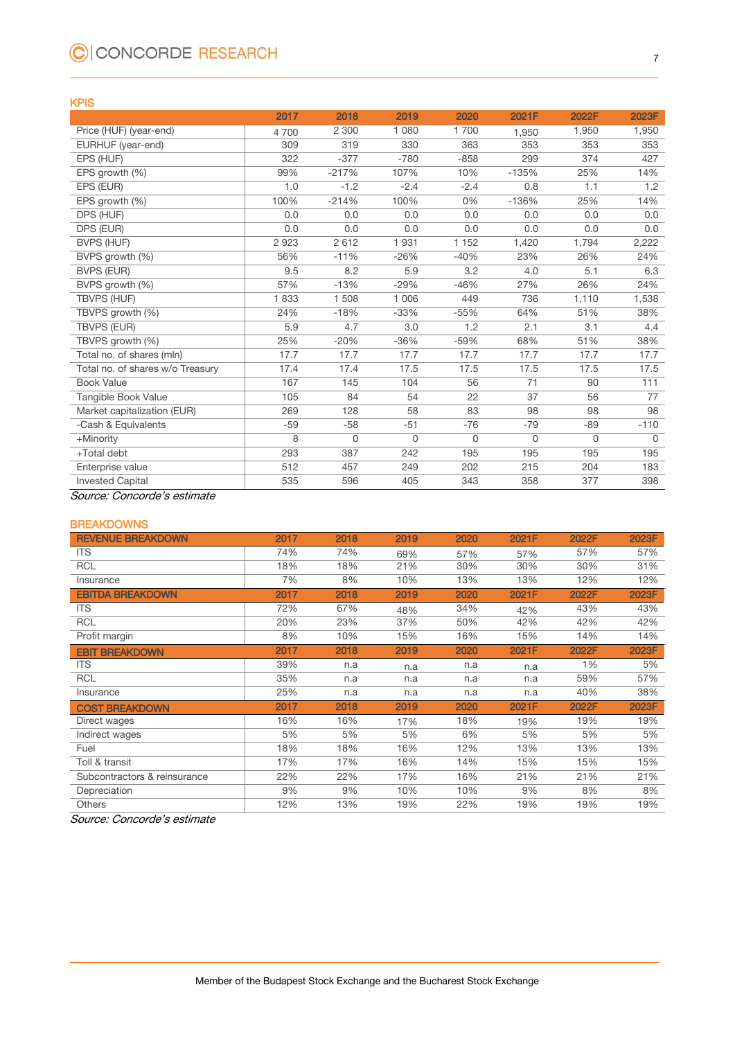# C CONCORDE RESEARCH

#### KPIS

|                                  | 2017  | 2018     | 2019    | 2020     | 2021F   | 2022F       | 2023F       |
|----------------------------------|-------|----------|---------|----------|---------|-------------|-------------|
| Price (HUF) (year-end)           | 4700  | 2 300    | 1 0 8 0 | 1700     | 1,950   | 1,950       | 1,950       |
| EURHUF (year-end)                | 309   | 319      | 330     | 363      | 353     | 353         | 353         |
| EPS (HUF)                        | 322   | $-377$   | $-780$  | $-858$   | 299     | 374         | 427         |
| EPS growth (%)                   | 99%   | $-217%$  | 107%    | 10%      | $-135%$ | 25%         | 14%         |
| EPS (EUR)                        | 1.0   | $-1.2$   | $-2.4$  | $-2.4$   | 0.8     | 1.1         | 1.2         |
| EPS growth (%)                   | 100%  | $-214%$  | 100%    | 0%       | $-136%$ | 25%         | 14%         |
| DPS (HUF)                        | 0.0   | 0.0      | 0.0     | 0.0      | 0.0     | 0.0         | 0.0         |
| DPS (EUR)                        | 0.0   | 0.0      | 0.0     | 0.0      | 0.0     | 0.0         | 0.0         |
| <b>BVPS (HUF)</b>                | 2923  | 2612     | 1931    | 1 1 5 2  | 1,420   | 1,794       | 2,222       |
| BVPS growth (%)                  | 56%   | $-11%$   | $-26%$  | $-40%$   | 23%     | 26%         | 24%         |
| <b>BVPS (EUR)</b>                | 9.5   | 8.2      | 5.9     | 3.2      | 4.0     | 5.1         | 6.3         |
| BVPS growth (%)                  | 57%   | $-13%$   | $-29%$  | $-46%$   | 27%     | 26%         | 24%         |
| <b>TBVPS (HUF)</b>               | 1833  | 1 508    | 1 0 0 6 | 449      | 736     | 1,110       | 1,538       |
| TBVPS growth (%)                 | 24%   | $-18%$   | $-33%$  | $-55%$   | 64%     | 51%         | 38%         |
| <b>TBVPS (EUR)</b>               | 5.9   | 4.7      | 3.0     | 1.2      | 2.1     | 3.1         | 4.4         |
| TBVPS growth (%)                 | 25%   | $-20%$   | $-36%$  | $-59%$   | 68%     | 51%         | 38%         |
| Total no. of shares (mln)        | 17.7  | 17.7     | 17.7    | 17.7     | 17.7    | 17.7        | 17.7        |
| Total no. of shares w/o Treasury | 17.4  | 17.4     | 17.5    | 17.5     | 17.5    | 17.5        | 17.5        |
| <b>Book Value</b>                | 167   | 145      | 104     | 56       | 71      | 90          | 111         |
| Tangible Book Value              | 105   | 84       | 54      | 22       | 37      | 56          | 77          |
| Market capitalization (EUR)      | 269   | 128      | 58      | 83       | 98      | 98          | 98          |
| -Cash & Equivalents              | $-59$ | $-58$    | $-51$   | $-76$    | $-79$   | $-89$       | $-110$      |
| +Minority                        | 8     | $\Omega$ | 0       | $\Omega$ | 0       | $\mathbf 0$ | $\mathbf 0$ |
| +Total debt                      | 293   | 387      | 242     | 195      | 195     | 195         | 195         |
| Enterprise value                 | 512   | 457      | 249     | 202      | 215     | 204         | 183         |
| <b>Invested Capital</b>          | 535   | 596      | 405     | 343      | 358     | 377         | 398         |

Source: Concorde's estimate

#### **BREAKDOWNS**

| <b>REVENUE BREAKDOWN</b>     | 2017 | 2018 | 2019 | 2020 | 2021F | 2022F | 2023F |
|------------------------------|------|------|------|------|-------|-------|-------|
| <b>ITS</b>                   | 74%  | 74%  | 69%  | 57%  | 57%   | 57%   | 57%   |
| <b>RCL</b>                   | 18%  | 18%  | 21%  | 30%  | 30%   | 30%   | 31%   |
| Insurance                    | 7%   | 8%   | 10%  | 13%  | 13%   | 12%   | 12%   |
| <b>EBITDA BREAKDOWN</b>      | 2017 | 2018 | 2019 | 2020 | 2021F | 2022F | 2023F |
| <b>ITS</b>                   | 72%  | 67%  | 48%  | 34%  | 42%   | 43%   | 43%   |
| <b>RCL</b>                   | 20%  | 23%  | 37%  | 50%  | 42%   | 42%   | 42%   |
| Profit margin                | 8%   | 10%  | 15%  | 16%  | 15%   | 14%   | 14%   |
| <b>EBIT BREAKDOWN</b>        | 2017 | 2018 | 2019 | 2020 | 2021F | 2022F | 2023F |
| <b>ITS</b>                   | 39%  | n.a  | n.a  | n.a  | n.a   | 1%    | 5%    |
| <b>RCL</b>                   | 35%  | n.a  | n.a  | n.a  | n.a   | 59%   | 57%   |
| Insurance                    | 25%  | n.a  | n.a  | n.a  | n.a   | 40%   | 38%   |
| <b>COST BREAKDOWN</b>        | 2017 | 2018 | 2019 | 2020 | 2021F | 2022F | 2023F |
| Direct wages                 | 16%  | 16%  | 17%  | 18%  | 19%   | 19%   | 19%   |
| Indirect wages               | 5%   | 5%   | 5%   | 6%   | 5%    | 5%    | 5%    |
| Fuel                         | 18%  | 18%  | 16%  | 12%  | 13%   | 13%   | 13%   |
| Toll & transit               | 17%  | 17%  | 16%  | 14%  | 15%   | 15%   | 15%   |
| Subcontractors & reinsurance | 22%  | 22%  | 17%  | 16%  | 21%   | 21%   | 21%   |
| Depreciation                 | 9%   | 9%   | 10%  | 10%  | 9%    | 8%    | 8%    |
| <b>Others</b>                | 12%  | 13%  | 19%  | 22%  | 19%   | 19%   | 19%   |

Source: Concorde's estimate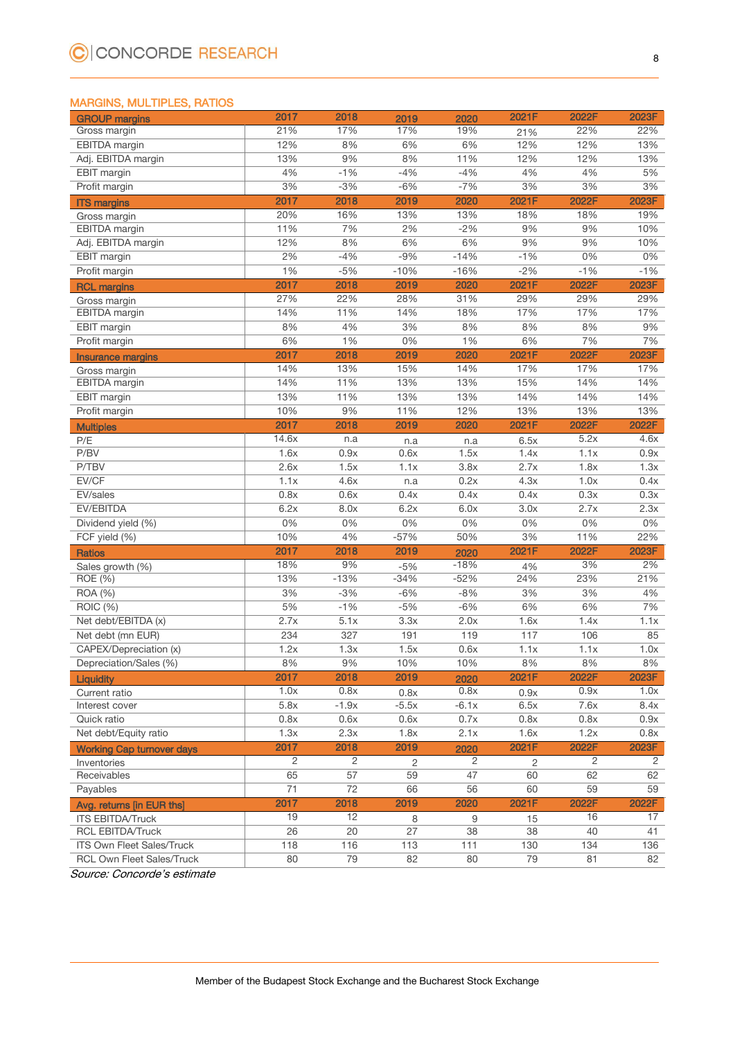#### MARGINS, MULTIPLES, RATIOS

| <b>GROUP</b> margins                     | 2017  | 2018            | 2019           | 2020    | 2021F        | 2022F             | 2023F          |
|------------------------------------------|-------|-----------------|----------------|---------|--------------|-------------------|----------------|
| Gross margin                             | 21%   | 17%             | 17%            | 19%     | 21%          | 22%               | 22%            |
| <b>EBITDA</b> margin                     | 12%   | 8%              | 6%             | 6%      | 12%          | 12%               | 13%            |
| Adj. EBITDA margin                       | 13%   | 9%              | 8%             | 11%     | 12%          | 12%               | 13%            |
| EBIT margin                              | 4%    | $-1%$           | $-4%$          | $-4%$   | 4%           | 4%                | 5%             |
| Profit margin                            | 3%    | $-3%$           | $-6%$          | $-7%$   | 3%           | 3%                | 3%             |
| <b>ITS margins</b>                       | 2017  | 2018            | 2019           | 2020    | 2021F        | 2022F             | 2023F          |
| Gross margin                             | 20%   | 16%             | 13%            | 13%     | 18%          | 18%               | 19%            |
| EBITDA margin                            | 11%   | 7%              | 2%             | $-2%$   | 9%           | 9%                | 10%            |
| Adj. EBITDA margin                       | 12%   | 8%              | 6%             | 6%      | 9%           | 9%                | 10%            |
| <b>EBIT</b> margin                       | 2%    | $-4%$           | $-9%$          | $-14%$  | $-1%$        | 0%                | 0%             |
| Profit margin                            | 1%    | $-5%$           | $-10%$         | $-16%$  | $-2%$        | $-1%$             | $-1%$          |
| <b>RCL margins</b>                       | 2017  | 2018            | 2019           | 2020    | 2021F        | 2022F             | 2023F          |
| Gross margin                             | 27%   | 22%             | 28%            | 31%     | 29%          | 29%               | 29%            |
| EBITDA margin                            | 14%   | 11%             | 14%            | 18%     | 17%          | 17%               | 17%            |
| EBIT margin                              | 8%    | 4%              | 3%             | 8%      | 8%           | 8%                | 9%             |
| Profit margin                            | 6%    | $1\%$           | 0%             | 1%      | 6%           | 7%                | 7%             |
|                                          | 2017  | 2018            | 2019           | 2020    | 2021F        | 2022F             | 2023F          |
| <b>Insurance margins</b><br>Gross margin | 14%   | 13%             | 15%            | 14%     | 17%          | 17%               | 17%            |
| EBITDA margin                            | 14%   | 11%             | 13%            | 13%     | 15%          | 14%               | 14%            |
| EBIT margin                              | 13%   | 11%             | 13%            | 13%     | 14%          | 14%               | 14%            |
| Profit margin                            | 10%   | 9%              | 11%            | 12%     | 13%          | 13%               | 13%            |
|                                          | 2017  | 2018            | 2019           | 2020    | 2021F        | 2022F             | 2022F          |
| <b>Multiples</b>                         | 14.6x |                 |                |         |              | $\overline{5.2x}$ | 4.6x           |
| P/E<br>P/BV                              | 1.6x  | n.a             | n.a            | n.a     | 6.5x         |                   | 0.9x           |
| P/TBV                                    |       | 0.9x            | 0.6x           | 1.5x    | 1.4x<br>2.7x | 1.1x              |                |
| EV/CF                                    | 2.6x  | 1.5x            | 1.1x           | 3.8x    |              | 1.8x              | 1.3x           |
|                                          | 1.1x  | 4.6x            | n.a            | 0.2x    | 4.3x         | 1.0x              | 0.4x           |
| EV/sales                                 | 0.8x  | 0.6x            | 0.4x           | 0.4x    | 0.4x         | 0.3x              | 0.3x           |
| EV/EBITDA                                | 6.2x  | 8.0x            | 6.2x           | 6.0x    | 3.0x         | 2.7x              | 2.3x           |
| Dividend yield (%)                       | 0%    | 0%              | 0%             | 0%      | 0%           | $0\%$             | 0%             |
| FCF yield (%)                            | 10%   | 4%              | $-57%$         | 50%     | 3%           | 11%               | 22%            |
| <b>Ratios</b>                            | 2017  | 2018            | 2019           | 2020    | 2021F        | 2022F             | 2023F          |
| Sales growth (%)                         | 18%   | 9%              | $-5%$          | $-18%$  | 4%           | 3%                | 2%             |
| ROE (%)                                  | 13%   | $-13%$          | $-34%$         | $-52%$  | 24%          | 23%               | 21%            |
| <b>ROA</b> (%)                           | 3%    | $-3%$           | $-6%$          | $-8%$   | 3%           | 3%                | 4%             |
| ROIC (%)                                 | 5%    | $-1%$           | $-5%$          | $-6%$   | 6%           | 6%                | 7%             |
| Net debt/EBITDA (x)                      | 2.7x  | 5.1x            | 3.3x           | 2.0x    | 1.6x         | 1.4x              | 1.1x           |
| Net debt (mn EUR)                        | 234   | 327             | 191            | 119     | 117          | 106               | 85             |
| CAPEX/Depreciation (x)                   | 1.2x  | 1.3x            | 1.5x           | 0.6x    | 1.1x         | 1.1x              | 1.0x           |
| Depreciation/Sales (%)                   | 8%    | 9%              | 10%            | 10%     | 8%           | 8%                | 8%             |
| <b>Liquidity</b>                         | 2017  | 2018            | 2019           | 2020    | 2021F        | 2022F             | 2023F          |
| Current ratio                            | 1.0x  | 0.8x            | 0.8x           | 0.8x    | 0.9x         | 0.9x              | 1.0x           |
| Interest cover                           | 5.8x  | $-1.9x$         | $-5.5x$        | $-6.1x$ | 6.5x         | 7.6x              | 8.4x           |
| Quick ratio                              | 0.8x  | 0.6x            | 0.6x           | 0.7x    | 0.8x         | 0.8x              | 0.9x           |
| Net debt/Equity ratio                    | 1.3x  | 2.3x            | 1.8x           | 2.1x    | 1.6x         | 1.2x              | 0.8x           |
| <b>Working Cap turnover days</b>         | 2017  | 2018            | 2019           | 2020    | 2021F        | 2022F             | 2023F          |
| Inventories                              | 2     | $\overline{2}$  | $\overline{2}$ | 2       | 2            | 2                 | $\overline{2}$ |
| Receivables                              | 65    | $\overline{57}$ | 59             | 47      | 60           | 62                | 62             |
| Payables                                 | 71    | 72              | 66             | 56      | 60           | 59                | 59             |
| Avg. returns [in EUR ths]                | 2017  | 2018            | 2019           | 2020    | 2021F        | 2022F             | 2022F          |
| <b>ITS EBITDA/Truck</b>                  | 19    | 12              | 8              | 9       | 15           | 16                | 17             |
| <b>RCL EBITDA/Truck</b>                  | 26    | 20              | 27             | 38      | 38           | 40                | 41             |
| ITS Own Fleet Sales/Truck                | 118   | 116             | 113            | 111     | 130          | 134               | 136            |
| <b>RCL Own Fleet Sales/Truck</b>         | 80    | 79              | 82             | 80      | 79           | 81                | 82             |

Source: Concorde's estimate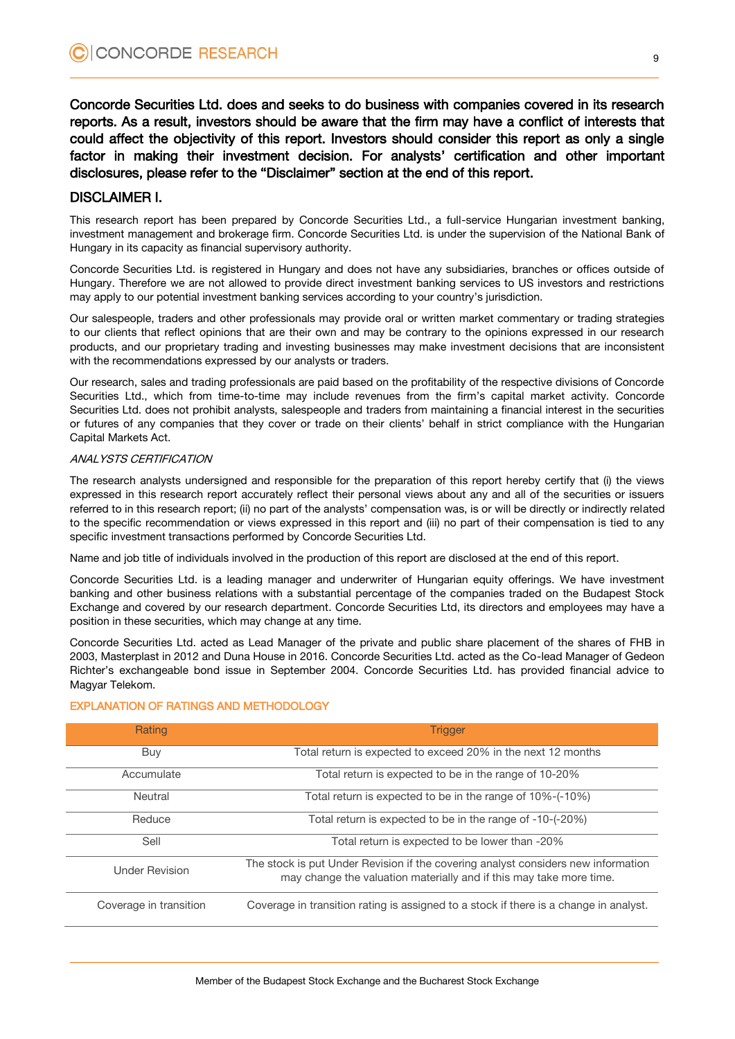Concorde Securities Ltd. does and seeks to do business with companies covered in its research reports. As a result, investors should be aware that the firm may have a conflict of interests that could affect the objectivity of this report. Investors should consider this report as only a single factor in making their investment decision. For analysts' certification and other important disclosures, please refer to the "Disclaimer" section at the end of this report.

### DISCLAIMER I.

This research report has been prepared by Concorde Securities Ltd., a full-service Hungarian investment banking, investment management and brokerage firm. Concorde Securities Ltd. is under the supervision of the National Bank of Hungary in its capacity as financial supervisory authority.

Concorde Securities Ltd. is registered in Hungary and does not have any subsidiaries, branches or offices outside of Hungary. Therefore we are not allowed to provide direct investment banking services to US investors and restrictions may apply to our potential investment banking services according to your country's jurisdiction.

Our salespeople, traders and other professionals may provide oral or written market commentary or trading strategies to our clients that reflect opinions that are their own and may be contrary to the opinions expressed in our research products, and our proprietary trading and investing businesses may make investment decisions that are inconsistent with the recommendations expressed by our analysts or traders.

Our research, sales and trading professionals are paid based on the profitability of the respective divisions of Concorde Securities Ltd., which from time-to-time may include revenues from the firm's capital market activity. Concorde Securities Ltd. does not prohibit analysts, salespeople and traders from maintaining a financial interest in the securities or futures of any companies that they cover or trade on their clients' behalf in strict compliance with the Hungarian Capital Markets Act.

#### ANALYSTS CERTIFICATION

The research analysts undersigned and responsible for the preparation of this report hereby certify that (i) the views expressed in this research report accurately reflect their personal views about any and all of the securities or issuers referred to in this research report; (ii) no part of the analysts' compensation was, is or will be directly or indirectly related to the specific recommendation or views expressed in this report and (iii) no part of their compensation is tied to any specific investment transactions performed by Concorde Securities Ltd.

Name and job title of individuals involved in the production of this report are disclosed at the end of this report.

Concorde Securities Ltd. is a leading manager and underwriter of Hungarian equity offerings. We have investment banking and other business relations with a substantial percentage of the companies traded on the Budapest Stock Exchange and covered by our research department. Concorde Securities Ltd, its directors and employees may have a position in these securities, which may change at any time.

Concorde Securities Ltd. acted as Lead Manager of the private and public share placement of the shares of FHB in 2003, Masterplast in 2012 and Duna House in 2016. Concorde Securities Ltd. acted as the Co-lead Manager of Gedeon Richter's exchangeable bond issue in September 2004. Concorde Securities Ltd. has provided financial advice to Magyar Telekom.

| Rating                 | <b>Trigger</b>                                                                                                                                           |
|------------------------|----------------------------------------------------------------------------------------------------------------------------------------------------------|
| Buy                    | Total return is expected to exceed 20% in the next 12 months                                                                                             |
| Accumulate             | Total return is expected to be in the range of 10-20%                                                                                                    |
| Neutral                | Total return is expected to be in the range of 10%-(-10%)                                                                                                |
| Reduce                 | Total return is expected to be in the range of -10-(-20%)                                                                                                |
| Sell                   | Total return is expected to be lower than -20%                                                                                                           |
| <b>Under Revision</b>  | The stock is put Under Revision if the covering analyst considers new information<br>may change the valuation materially and if this may take more time. |
| Coverage in transition | Coverage in transition rating is assigned to a stock if there is a change in analyst.                                                                    |

#### EXPLANATION OF RATINGS AND METHODOLOGY